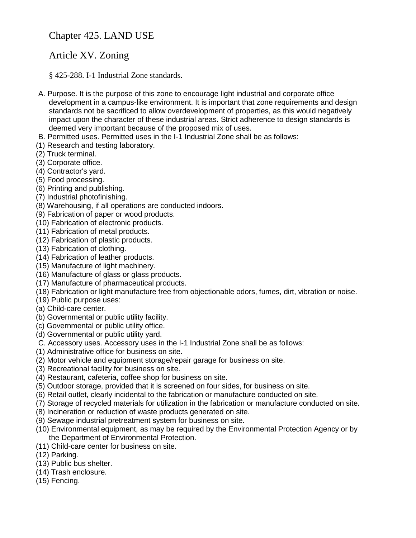## Chapter 425. LAND USE

## Article XV. Zoning

§ 425-288. I-1 Industrial Zone standards.

- A. Purpose. It is the purpose of this zone to encourage light industrial and corporate office development in a campus-like environment. It is important that zone requirements and design standards not be sacrificed to allow overdevelopment of properties, as this would negatively impact upon the character of these industrial areas. Strict adherence to design standards is deemed very important because of the proposed mix of uses.
- B. Permitted uses. Permitted uses in the I-1 Industrial Zone shall be as follows:
- (1) Research and testing laboratory.
- (2) Truck terminal.
- (3) Corporate office.
- (4) Contractor's yard.
- (5) Food processing.
- (6) Printing and publishing.
- (7) Industrial photofinishing.
- (8) Warehousing, if all operations are conducted indoors.
- (9) Fabrication of paper or wood products.
- (10) Fabrication of electronic products.
- (11) Fabrication of metal products.
- (12) Fabrication of plastic products.
- (13) Fabrication of clothing.
- (14) Fabrication of leather products.
- (15) Manufacture of light machinery.
- (16) Manufacture of glass or glass products.
- (17) Manufacture of pharmaceutical products.
- (18) Fabrication or light manufacture free from objectionable odors, fumes, dirt, vibration or noise.
- (19) Public purpose uses:
- (a) Child-care center.
- (b) Governmental or public utility facility.
- (c) Governmental or public utility office.
- (d) Governmental or public utility yard.
- C. Accessory uses. Accessory uses in the I-1 Industrial Zone shall be as follows:
- (1) Administrative office for business on site.
- (2) Motor vehicle and equipment storage/repair garage for business on site.
- (3) Recreational facility for business on site.
- (4) Restaurant, cafeteria, coffee shop for business on site.
- (5) Outdoor storage, provided that it is screened on four sides, for business on site.
- (6) Retail outlet, clearly incidental to the fabrication or manufacture conducted on site.
- (7) Storage of recycled materials for utilization in the fabrication or manufacture conducted on site.
- (8) Incineration or reduction of waste products generated on site.
- (9) Sewage industrial pretreatment system for business on site.
- (10) Environmental equipment, as may be required by the Environmental Protection Agency or by the Department of Environmental Protection.
- (11) Child-care center for business on site.
- (12) Parking.
- (13) Public bus shelter.
- (14) Trash enclosure.
- (15) Fencing.